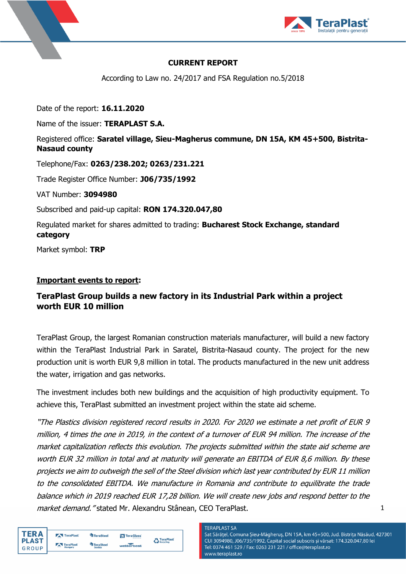



## **CURRENT REPORT**

According to Law no. 24/2017 and FSA Regulation no.5/2018

Date of the report: **16.11.2020**

Name of the issuer: **TERAPLAST S.A.**

# Registered office: **Saratel village, Sieu-Magherus commune, DN 15A, KM 45+500, Bistrita-Nasaud county**

Telephone/Fax: **0263/238.202; 0263/231.221**

Trade Register Office Number: **J06/735/1992**

VAT Number: **3094980**

Subscribed and paid-up capital: **RON 174.320.047,80**

Regulated market for shares admitted to trading: **Bucharest Stock Exchange, standard category**

Market symbol: **TRP**

# **Important events to report:**

# **TeraPlast Group builds a new factory in its Industrial Park within a project worth EUR 10 million**

TeraPlast Group, the largest Romanian construction materials manufacturer, will build a new factory within the TeraPlast Industrial Park in Saratel, Bistrita-Nasaud county. The project for the new production unit is worth EUR 9,8 million in total. The products manufactured in the new unit address the water, irrigation and gas networks.

The investment includes both new buildings and the acquisition of high productivity equipment. To achieve this, TeraPlast submitted an investment project within the state aid scheme.

"The Plastics division registered record results in 2020. For 2020 we estimate a net profit of EUR 9 million, 4 times the one in 2019, in the context of a turnover of EUR 94 million. The increase of the market capitalization reflects this evolution. The projects submitted within the state aid scheme are worth EUR 32 million in total and at maturity will generate an EBITDA of EUR 8,6 million. By these projects we aim to outweigh the sell of the Steel division which last year contributed by EUR 11 million to the consolidated EBITDA. We manufacture in Romania and contribute to equilibrate the trade balance which in 2019 reached EUR 17,28 billion. We will create new jobs and respond better to the market demand. "stated Mr. Alexandru Stânean, CEO TeraPlast.



# **TERAPLAST SA**

Sat Sărățel, Comuna Șieu-Măgheruș, DN 15A, km 45+500, Jud. Bistrița Năsăud, 427301 CUI 3094980, J06/735/1992, Capital social subscris și vărsat: 174.320.047,80 lei Tel: 0374 461 529 / Fax: 0263 231 221 / office@teraplast.ro www.teraplast.ro